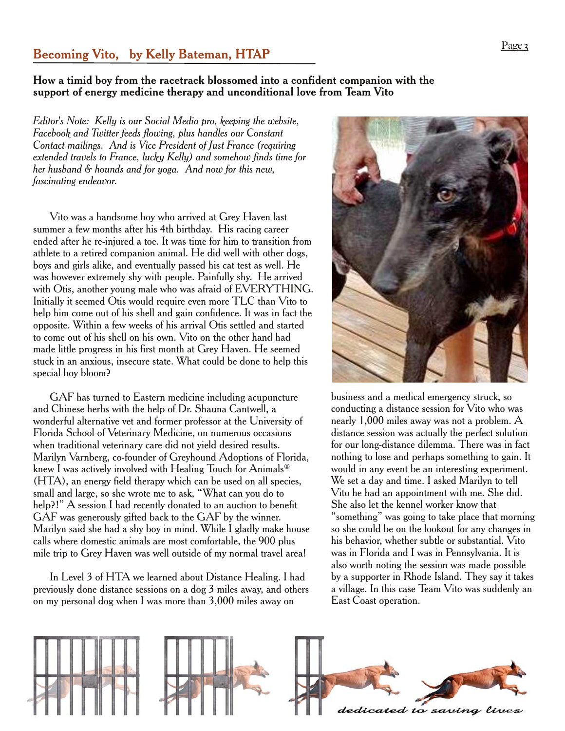## **Page 3 Becoming Vito, by Kelly Bateman, HTAP**

## **How a timid boy from the racetrack blossomed into a confident companion with the support of energy medicine therapy and unconditional love from Team Vito**

*Editor's Note: Kelly is our Social Media pro, keeping the website, Facebook and Twitter feeds flowing, plus handles our Constant Contact mailings. And is Vice President of Just France (requiring extended travels to France, lucky Kelly) and somehow finds time for her husband & hounds and for yoga. And now for this new, fascinating endeavor.*

Vito was a handsome boy who arrived at Grey Haven last summer a few months after his 4th birthday. His racing career ended after he re-injured a toe. It was time for him to transition from athlete to a retired companion animal. He did well with other dogs, boys and girls alike, and eventually passed his cat test as well. He was however extremely shy with people. Painfully shy. He arrived with Otis, another young male who was afraid of EVERYTHING. Initially it seemed Otis would require even more TLC than Vito to help him come out of his shell and gain confidence. It was in fact the opposite. Within a few weeks of his arrival Otis settled and started to come out of his shell on his own. Vito on the other hand had made little progress in his first month at Grey Haven. He seemed stuck in an anxious, insecure state. What could be done to help this special boy bloom?

GAF has turned to Eastern medicine including acupuncture and Chinese herbs with the help of Dr. Shauna Cantwell, a wonderful alternative vet and former professor at the University of Florida School of Veterinary Medicine, on numerous occasions when traditional veterinary care did not yield desired results. Marilyn Varnberg, co-founder of Greyhound Adoptions of Florida, knew I was actively involved with Healing Touch for Animals<sup>®</sup> (HTA), an energy field therapy which can be used on all species, small and large, so she wrote me to ask, "What can you do to help?!" A session I had recently donated to an auction to benefit GAF was generously gifted back to the GAF by the winner. Marilyn said she had a shy boy in mind. While I gladly make house calls where domestic animals are most comfortable, the 900 plus mile trip to Grey Haven was well outside of my normal travel area!

In Level 3 of HTA we learned about Distance Healing. I had previously done distance sessions on a dog 3 miles away, and others on my personal dog when I was more than 3,000 miles away on



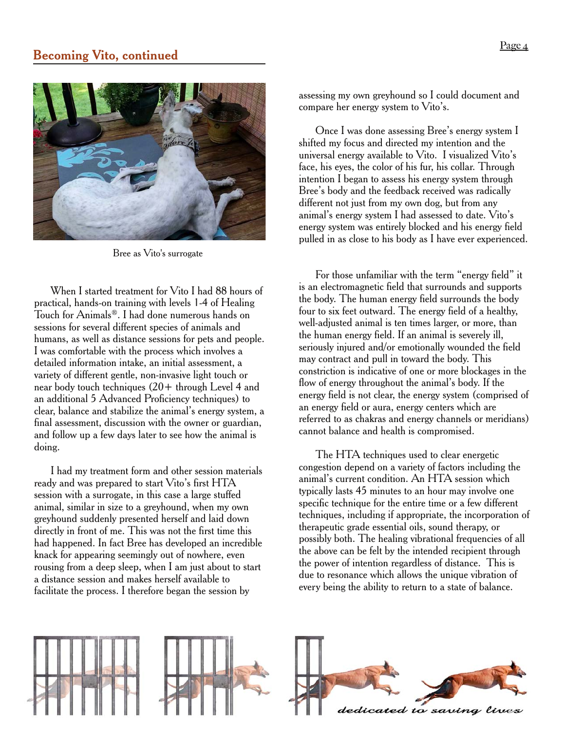



Bree as Vito's surrogate

When I started treatment for Vito I had 88 hours of practical, hands-on training with levels 1-4 of Healing Touch for Animals®. I had done numerous hands on sessions for several different species of animals and humans, as well as distance sessions for pets and people. I was comfortable with the process which involves a detailed information intake, an initial assessment, a variety of different gentle, non-invasive light touch or near body touch techniques  $(20 +$  through Level 4 and an additional 5 Advanced Proficiency techniques) to clear, balance and stabilize the animal's energy system, a final assessment, discussion with the owner or guardian, and follow up a few days later to see how the animal is doing.

I had my treatment form and other session materials ready and was prepared to start Vito's first HTA session with a surrogate, in this case a large stuffed animal, similar in size to a greyhound, when my own greyhound suddenly presented herself and laid down directly in front of me. This was not the first time this had happened. In fact Bree has developed an incredible knack for appearing seemingly out of nowhere, even rousing from a deep sleep, when I am just about to start a distance session and makes herself available to facilitate the process. I therefore began the session by

assessing my own greyhound so I could document and compare her energy system to Vito's.

Once I was done assessing Bree's energy system I shifted my focus and directed my intention and the universal energy available to Vito. I visualized Vito's face, his eyes, the color of his fur, his collar. Through intention I began to assess his energy system through Bree's body and the feedback received was radically different not just from my own dog, but from any animal's energy system I had assessed to date. Vito's energy system was entirely blocked and his energy field pulled in as close to his body as I have ever experienced.

For those unfamiliar with the term "energy field" it is an electromagnetic field that surrounds and supports the body. The human energy field surrounds the body four to six feet outward. The energy field of a healthy, well-adjusted animal is ten times larger, or more, than the human energy field. If an animal is severely ill, seriously injured and/or emotionally wounded the field may contract and pull in toward the body. This constriction is indicative of one or more blockages in the flow of energy throughout the animal's body. If the energy field is not clear, the energy system (comprised of an energy field or aura, energy centers which are referred to as chakras and energy channels or meridians) cannot balance and health is compromised.

The HTA techniques used to clear energetic congestion depend on a variety of factors including the animal's current condition. An HTA session which typically lasts 45 minutes to an hour may involve one specific technique for the entire time or a few different techniques, including if appropriate, the incorporation of therapeutic grade essential oils, sound therapy, or possibly both. The healing vibrational frequencies of all the above can be felt by the intended recipient through the power of intention regardless of distance. This is due to resonance which allows the unique vibration of every being the ability to return to a state of balance.

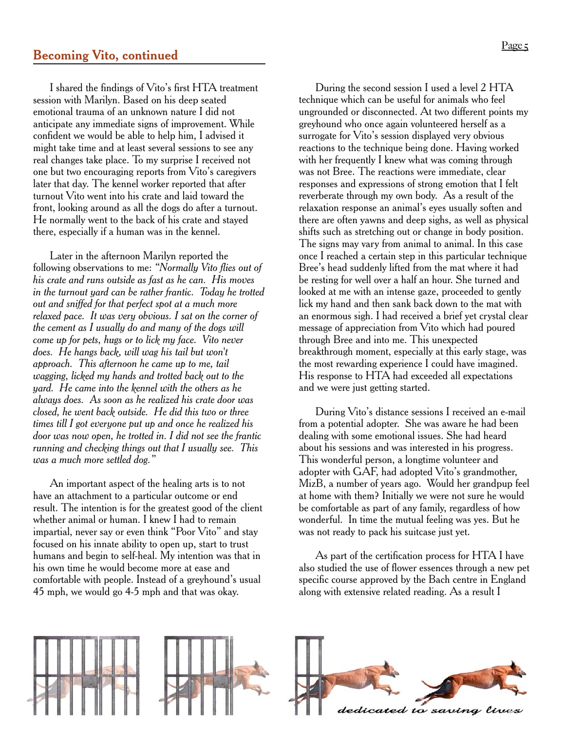I shared the findings of Vito's first HTA treatment session with Marilyn. Based on his deep seated emotional trauma of an unknown nature I did not anticipate any immediate signs of improvement. While confident we would be able to help him, I advised it might take time and at least several sessions to see any real changes take place. To my surprise I received not one but two encouraging reports from Vito's caregivers later that day. The kennel worker reported that after turnout Vito went into his crate and laid toward the front, looking around as all the dogs do after a turnout.-He normally went to the back of his crate and stayed there, especially if a human was in the kennel.

Later in the afternoon Marilyn reported the following observations to me: *"Normally Vito flies out of his crate and runs outside as fast as he can. His moves in the turnout yard can be rather frantic. Today he trotted out and sniffed for that perfect spot at a much more relaxed pace. It was very obvious. I sat on the corner of the cement as I usually do and many of the dogs will come up for pets, hugs or to lick my face. Vito never does. He hangs back, will wag his tail but won't approach. This afternoon he came up to me, tail wagging, licked my hands and trotted back out to the yard. He came into the kennel with the others as he always does. As soon as he realized his crate door was closed, he went back outside. He did this two or three times till I got everyone put up and once he realized his door was now open, he trotted in. I did not see the frantic running and checking things out that I usually see. This was a much more settled dog."*

An important aspect of the healing arts is to not have an attachment to a particular outcome or end result. The intention is for the greatest good of the client whether animal or human. I knew I had to remain impartial, never say or even think "Poor Vito" and stay focused on his innate ability to open up, start to trust humans and begin to self-heal. My intention was that in his own time he would become more at ease and comfortable with people. Instead of a greyhound's usual 45 mph, we would go 4-5 mph and that was okay.

During the second session I used a level 2 HTA technique which can be useful for animals who feel ungrounded or disconnected. At two different points my greyhound who once again volunteered herself as a surrogate for Vito's session displayed very obvious reactions to the technique being done. Having worked with her frequently I knew what was coming through was not Bree. The reactions were immediate, clear responses and expressions of strong emotion that I felt reverberate through my own body. As a result of the relaxation response an animal's eyes usually soften and there are often yawns and deep sighs, as well as physical shifts such as stretching out or change in body position. The signs may vary from animal to animal. In this case once I reached a certain step in this particular technique Bree's head suddenly lifted from the mat where it had be resting for well over a half an hour. She turned and looked at me with an intense gaze, proceeded to gently lick my hand and then sank back down to the mat with an enormous sigh. I had received a brief yet crystal clear message of appreciation from Vito which had poured through Bree and into me. This unexpected breakthrough moment, especially at this early stage, was the most rewarding experience I could have imagined. His response to HTA had exceeded all expectations and we were just getting started.

During Vito's distance sessions I received an e-mail from a potential adopter. She was aware he had been dealing with some emotional issues. She had heard about his sessions and was interested in his progress. This wonderful person, a longtime volunteer and adopter with GAF, had adopted Vito's grandmother, MizB, a number of years ago. Would her grandpup feel at home with them? Initially we were not sure he would be comfortable as part of any family, regardless of how wonderful. In time the mutual feeling was yes. But he was not ready to pack his suitcase just yet.

As part of the certification process for HTA I have also studied the use of flower essences through a new pet specific course approved by the Bach centre in England along with extensive related reading. As a result I

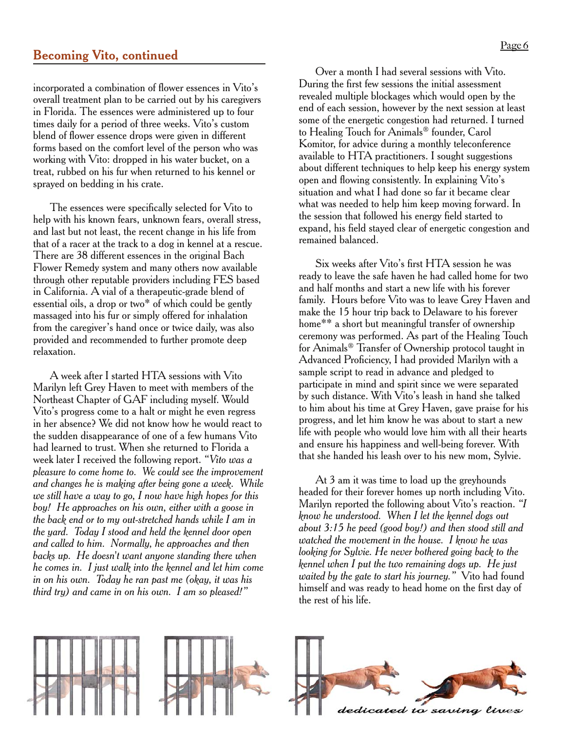## **Becoming Vito, continued**

incorporated a combination of flower essences in Vito's overall treatment plan to be carried out by his caregivers in Florida. The essences were administered up to four times daily for a period of three weeks. Vito's custom blend of flower essence drops were given in different forms based on the comfort level of the person who was working with Vito: dropped in his water bucket, on a treat, rubbed on his fur when returned to his kennel or sprayed on bedding in his crate.

The essences were specifically selected for Vito to help with his known fears, unknown fears, overall stress, and last but not least, the recent change in his life from that of a racer at the track to a dog in kennel at a rescue. There are 38 different essences in the original Bach Flower Remedy system and many others now available through other reputable providers including FES based in California. A vial of a therapeutic-grade blend of essential oils, a drop or two\* of which could be gently massaged into his fur or simply offered for inhalation from the caregiver's hand once or twice daily, was also provided and recommended to further promote deep relaxation.

A week after I started HTA sessions with Vito Marilyn left Grey Haven to meet with members of the Northeast Chapter of GAF including myself. Would Vito's progress come to a halt or might he even regress in her absence? We did not know how he would react to the sudden disappearance of one of a few humans Vito had learned to trust. When she returned to Florida a week later I received the following report. *"Vito was a pleasure to come home to. We could see the improvement and changes he is making after being gone a week. While we still have a way to go, I now have high hopes for this boy! He approaches on his own, either with a goose in the back end or to my out-stretched hands while I am in the yard. Today I stood and held the kennel door open and called to him. Normally, he approaches and then backs up. He doesn't want anyone standing there when he comes in. I just walk into the kennel and let him come in on his own. Today he ran past me (okay, it was his third try) and came in on his own. I am so pleased!"*

Over a month I had several sessions with Vito. During the first few sessions the initial assessment revealed multiple blockages which would open by the end of each session, however by the next session at least some of the energetic congestion had returned. I turned to Healing Touch for Animals® founder, Carol Komitor, for advice during a monthly teleconference available to HTA practitioners. I sought suggestions about different techniques to help keep his energy system open and flowing consistently. In explaining Vito's situation and what I had done so far it became clear what was needed to help him keep moving forward. In the session that followed his energy field started to expand, his field stayed clear of energetic congestion and remained balanced.

Six weeks after Vito's first HTA session he was ready to leave the safe haven he had called home for two and half months and start a new life with his forever family. Hours before Vito was to leave Grey Haven and make the 15 hour trip back to Delaware to his forever home\*\* a short but meaningful transfer of ownership ceremony was performed. As part of the Healing Touch for Animals® Transfer of Ownership protocol taught in Advanced Proficiency, I had provided Marilyn with a sample script to read in advance and pledged to participate in mind and spirit since we were separated by such distance. With Vito's leash in hand she talked to him about his time at Grey Haven, gave praise for his progress, and let him know he was about to start a new life with people who would love him with all their hearts and ensure his happiness and well-being forever. With that she handed his leash over to his new mom, Sylvie.

At 3 am it was time to load up the greyhounds headed for their forever homes up north including Vito. Marilyn reported the following about Vito's reaction. *"I know he understood. When I let the kennel dogs out about 3:15 he peed (good boy!) and then stood still and watched the movement in the house. I know he was looking for Sylvie. He never bothered going back to the kennel when I put the two remaining dogs up. He just waited by the gate to start his journey."* Vito had found himself and was ready to head home on the first day of the rest of his life.